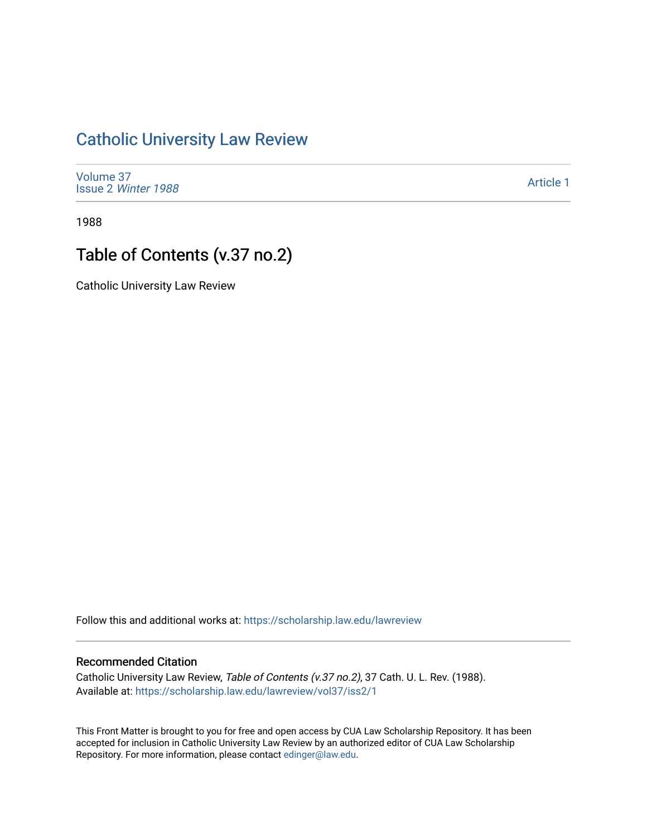# [Catholic University Law Review](https://scholarship.law.edu/lawreview)

[Volume 37](https://scholarship.law.edu/lawreview/vol37) Issue 2 [Winter 1988](https://scholarship.law.edu/lawreview/vol37/iss2) 

[Article 1](https://scholarship.law.edu/lawreview/vol37/iss2/1) 

1988

# Table of Contents (v.37 no.2)

Catholic University Law Review

Follow this and additional works at: [https://scholarship.law.edu/lawreview](https://scholarship.law.edu/lawreview?utm_source=scholarship.law.edu%2Flawreview%2Fvol37%2Fiss2%2F1&utm_medium=PDF&utm_campaign=PDFCoverPages)

#### Recommended Citation

Catholic University Law Review, Table of Contents (v.37 no.2), 37 Cath. U. L. Rev. (1988). Available at: [https://scholarship.law.edu/lawreview/vol37/iss2/1](https://scholarship.law.edu/lawreview/vol37/iss2/1?utm_source=scholarship.law.edu%2Flawreview%2Fvol37%2Fiss2%2F1&utm_medium=PDF&utm_campaign=PDFCoverPages)

This Front Matter is brought to you for free and open access by CUA Law Scholarship Repository. It has been accepted for inclusion in Catholic University Law Review by an authorized editor of CUA Law Scholarship Repository. For more information, please contact [edinger@law.edu.](mailto:edinger@law.edu)